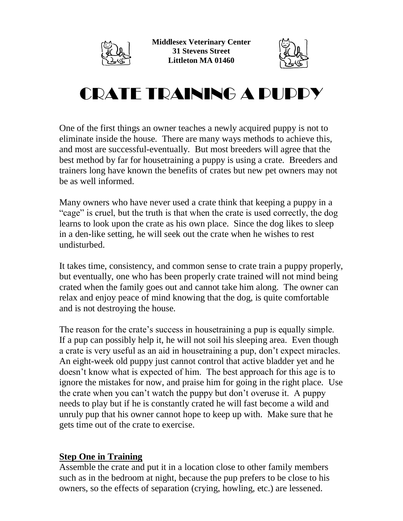

**Middlesex Veterinary Center 31 Stevens Street Littleton MA 01460**



## CRATE TRAINING A PUPPY

One of the first things an owner teaches a newly acquired puppy is not to eliminate inside the house. There are many ways methods to achieve this, and most are successful-eventually. But most breeders will agree that the best method by far for housetraining a puppy is using a crate. Breeders and trainers long have known the benefits of crates but new pet owners may not be as well informed.

Many owners who have never used a crate think that keeping a puppy in a "cage" is cruel, but the truth is that when the crate is used correctly, the dog learns to look upon the crate as his own place. Since the dog likes to sleep in a den-like setting, he will seek out the crate when he wishes to rest undisturbed.

It takes time, consistency, and common sense to crate train a puppy properly, but eventually, one who has been properly crate trained will not mind being crated when the family goes out and cannot take him along. The owner can relax and enjoy peace of mind knowing that the dog, is quite comfortable and is not destroying the house.

The reason for the crate's success in housetraining a pup is equally simple. If a pup can possibly help it, he will not soil his sleeping area. Even though a crate is very useful as an aid in housetraining a pup, don't expect miracles. An eight-week old puppy just cannot control that active bladder yet and he doesn't know what is expected of him. The best approach for this age is to ignore the mistakes for now, and praise him for going in the right place. Use the crate when you can't watch the puppy but don't overuse it. A puppy needs to play but if he is constantly crated he will fast become a wild and unruly pup that his owner cannot hope to keep up with. Make sure that he gets time out of the crate to exercise.

## **Step One in Training**

Assemble the crate and put it in a location close to other family members such as in the bedroom at night, because the pup prefers to be close to his owners, so the effects of separation (crying, howling, etc.) are lessened.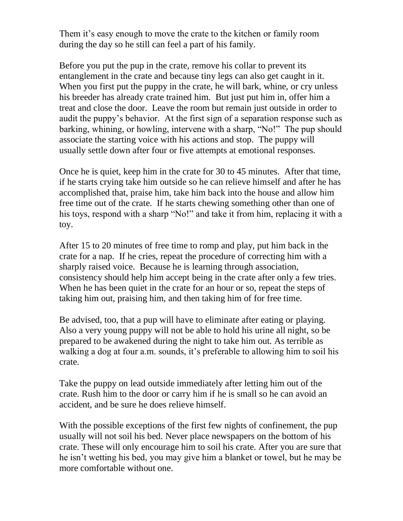Them it's easy enough to move the crate to the kitchen or family room during the day so he still can feel a part of his family.

Before you put the pup in the crate, remove his collar to prevent its entanglement in the crate and because tiny legs can also get caught in it. When you first put the puppy in the crate, he will bark, whine, or cry unless his breeder has already crate trained him. But just put him in, offer him a treat and close the door. Leave the room but remain just outside in order to audit the puppy's behavior. At the first sign of a separation response such as barking, whining, or howling, intervene with a sharp, "No!" The pup should associate the starting voice with his actions and stop. The puppy will usually settle down after four or five attempts at emotional responses.

Once he is quiet, keep him in the crate for 30 to 45 minutes. After that time, if he starts crying take him outside so he can relieve himself and after he has accomplished that, praise him, take him back into the house and allow him free time out of the crate. If he starts chewing something other than one of his toys, respond with a sharp "No!" and take it from him, replacing it with a toy.

After 15 to 20 minutes of free time to romp and play, put him back in the crate for a nap. If he cries, repeat the procedure of correcting him with a sharply raised voice. Because he is learning through association, consistency should help him accept being in the crate after only a few tries. When he has been quiet in the crate for an hour or so, repeat the steps of taking him out, praising him, and then taking him of for free time.

Be advised, too, that a pup will have to eliminate after eating or playing. Also a very young puppy will not be able to hold his urine all night, so be prepared to be awakened during the night to take him out. As terrible as walking a dog at four a.m. sounds, it's preferable to allowing him to soil his crate.

Take the puppy on lead outside immediately after letting him out of the crate. Rush him to the door or carry him if he is small so he can avoid an accident, and be sure he does relieve himself.

With the possible exceptions of the first few nights of confinement, the pup usually will not soil his bed. Never place newspapers on the bottom of his crate. These will only encourage him to soil his crate. After you are sure that he isn't wetting his bed, you may give him a blanket or towel, but he may be more comfortable without one.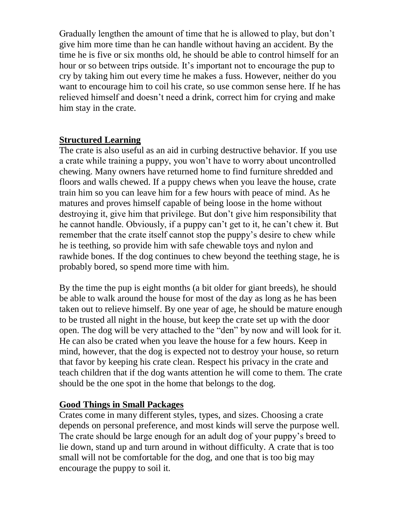Gradually lengthen the amount of time that he is allowed to play, but don't give him more time than he can handle without having an accident. By the time he is five or six months old, he should be able to control himself for an hour or so between trips outside. It's important not to encourage the pup to cry by taking him out every time he makes a fuss. However, neither do you want to encourage him to coil his crate, so use common sense here. If he has relieved himself and doesn't need a drink, correct him for crying and make him stay in the crate.

## **Structured Learning**

The crate is also useful as an aid in curbing destructive behavior. If you use a crate while training a puppy, you won't have to worry about uncontrolled chewing. Many owners have returned home to find furniture shredded and floors and walls chewed. If a puppy chews when you leave the house, crate train him so you can leave him for a few hours with peace of mind. As he matures and proves himself capable of being loose in the home without destroying it, give him that privilege. But don't give him responsibility that he cannot handle. Obviously, if a puppy can't get to it, he can't chew it. But remember that the crate itself cannot stop the puppy's desire to chew while he is teething, so provide him with safe chewable toys and nylon and rawhide bones. If the dog continues to chew beyond the teething stage, he is probably bored, so spend more time with him.

By the time the pup is eight months (a bit older for giant breeds), he should be able to walk around the house for most of the day as long as he has been taken out to relieve himself. By one year of age, he should be mature enough to be trusted all night in the house, but keep the crate set up with the door open. The dog will be very attached to the "den" by now and will look for it. He can also be crated when you leave the house for a few hours. Keep in mind, however, that the dog is expected not to destroy your house, so return that favor by keeping his crate clean. Respect his privacy in the crate and teach children that if the dog wants attention he will come to them. The crate should be the one spot in the home that belongs to the dog.

## **Good Things in Small Packages**

Crates come in many different styles, types, and sizes. Choosing a crate depends on personal preference, and most kinds will serve the purpose well. The crate should be large enough for an adult dog of your puppy's breed to lie down, stand up and turn around in without difficulty. A crate that is too small will not be comfortable for the dog, and one that is too big may encourage the puppy to soil it.